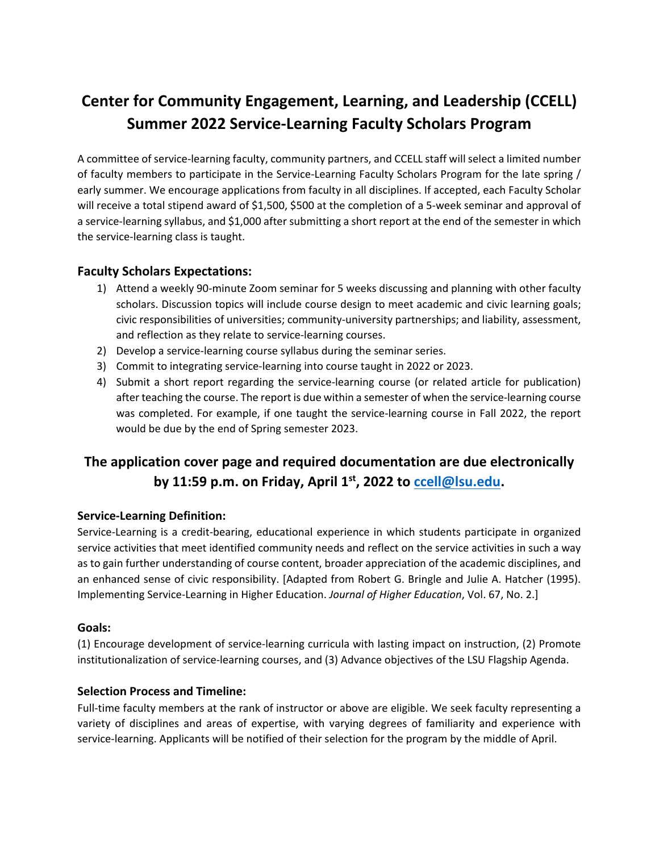# **Center for Community Engagement, Learning, and Leadership (CCELL) Summer 2022 Service-Learning Faculty Scholars Program**

A committee of service-learning faculty, community partners, and CCELL staff will select a limited number of faculty members to participate in the Service-Learning Faculty Scholars Program for the late spring / early summer. We encourage applications from faculty in all disciplines. If accepted, each Faculty Scholar will receive a total stipend award of \$1,500, \$500 at the completion of a 5-week seminar and approval of a service-learning syllabus, and \$1,000 after submitting a short report at the end of the semester in which the service-learning class is taught.

## **Faculty Scholars Expectations:**

- 1) Attend a weekly 90-minute Zoom seminar for 5 weeks discussing and planning with other faculty scholars. Discussion topics will include course design to meet academic and civic learning goals; civic responsibilities of universities; community-university partnerships; and liability, assessment, and reflection as they relate to service-learning courses.
- 2) Develop a service-learning course syllabus during the seminar series.
- 3) Commit to integrating service-learning into course taught in 2022 or 2023.
- 4) Submit a short report regarding the service-learning course (or related article for publication) after teaching the course. The report is due within a semester of when the service-learning course was completed. For example, if one taught the service-learning course in Fall 2022, the report would be due by the end of Spring semester 2023.

# **The application cover page and required documentation are due electronically by 11:59 p.m. on Friday, April 1st, 2022 to [ccell@lsu.edu.](mailto:ccell@lsu.edu)**

#### **Service-Learning Definition:**

Service-Learning is a credit-bearing, educational experience in which students participate in organized service activities that meet identified community needs and reflect on the service activities in such a way as to gain further understanding of course content, broader appreciation of the academic disciplines, and an enhanced sense of civic responsibility. [Adapted from Robert G. Bringle and Julie A. Hatcher (1995). Implementing Service-Learning in Higher Education. *Journal of Higher Education*, Vol. 67, No. 2.]

#### **Goals:**

(1) Encourage development of service-learning curricula with lasting impact on instruction, (2) Promote institutionalization of service-learning courses, and (3) Advance objectives of the LSU Flagship Agenda.

## **Selection Process and Timeline:**

Full-time faculty members at the rank of instructor or above are eligible. We seek faculty representing a variety of disciplines and areas of expertise, with varying degrees of familiarity and experience with service-learning. Applicants will be notified of their selection for the program by the middle of April.